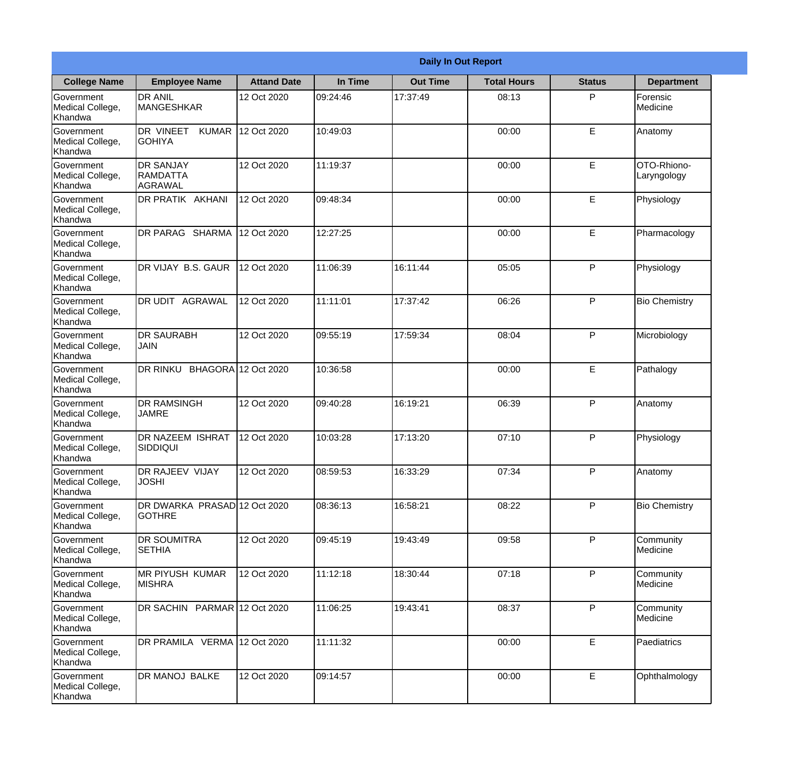|                                                  |                                                        |                     | <b>Daily In Out Report</b> |                 |                    |               |                            |
|--------------------------------------------------|--------------------------------------------------------|---------------------|----------------------------|-----------------|--------------------|---------------|----------------------------|
| <b>College Name</b>                              | <b>Employee Name</b>                                   | <b>Attand Date</b>  | In Time                    | <b>Out Time</b> | <b>Total Hours</b> | <b>Status</b> | <b>Department</b>          |
| Government<br>Medical College,<br>Khandwa        | <b>DR ANIL</b><br><b>MANGESHKAR</b>                    | 12 Oct 2020         | 09:24:46                   | 17:37:49        | 08:13              | P             | Forensic<br>Medicine       |
| Government<br>Medical College,<br>Khandwa        | DR VINEET<br><b>KUMAR</b><br><b>GOHIYA</b>             | 12 Oct 2020         | 10:49:03                   |                 | 00:00              | E             | Anatomy                    |
| <b>Government</b><br>Medical College,<br>Khandwa | <b>IDR SANJAY</b><br><b>RAMDATTA</b><br><b>AGRAWAL</b> | 12 Oct 2020         | 11:19:37                   |                 | 00:00              | E             | OTO-Rhiono-<br>Laryngology |
| Government<br>Medical College,<br>Khandwa        | <b>DR PRATIK AKHANI</b>                                | 12 Oct 2020         | 09:48:34                   |                 | 00:00              | E             | Physiology                 |
| Government<br>Medical College,<br>Khandwa        | <b>DR PARAG SHARMA</b>                                 | 12 Oct 2020         | 12:27:25                   |                 | 00:00              | E             | Pharmacology               |
| Government<br>Medical College,<br>Khandwa        | DR VIJAY B.S. GAUR                                     | 12 Oct 2020         | 11:06:39                   | 16:11:44        | 05:05              | P             | Physiology                 |
| Government<br>Medical College,<br>Khandwa        | <b>DR UDIT AGRAWAL</b>                                 | 12 Oct 2020         | 11:11:01                   | 17:37:42        | 06:26              | P             | <b>Bio Chemistry</b>       |
| Government<br>Medical College,<br>Khandwa        | <b>DR SAURABH</b><br><b>JAIN</b>                       | 12 Oct 2020         | 09:55:19                   | 17:59:34        | 08:04              | P             | Microbiology               |
| Government<br>Medical College,<br>Khandwa        | DR RINKU                                               | BHAGORA 12 Oct 2020 | 10:36:58                   |                 | 00:00              | E             | Pathalogy                  |
| Government<br>Medical College,<br>Khandwa        | <b>DR RAMSINGH</b><br><b>JAMRE</b>                     | 12 Oct 2020         | 09:40:28                   | 16:19:21        | 06:39              | P             | Anatomy                    |
| Government<br>Medical College,<br>Khandwa        | <b>IDR NAZEEM ISHRAT</b><br>SIDDIQUI                   | 12 Oct 2020         | 10:03:28                   | 17:13:20        | 07:10              | $\mathsf{P}$  | Physiology                 |
| Government<br>Medical College,<br>Khandwa        | <b>DR RAJEEV VIJAY</b><br><b>JOSHI</b>                 | 12 Oct 2020         | 08:59:53                   | 16:33:29        | 07:34              | P             | Anatomy                    |
| Government<br>Medical College,<br>Khandwa        | DR DWARKA PRASAD 12 Oct 2020<br>IGOTHRE                |                     | 08:36:13                   | 16:58:21        | 08:22              | P             | <b>Bio Chemistry</b>       |
| <b>Government</b><br>Medical College,<br>Khandwa | <b>DR SOUMITRA</b><br><b>SETHIA</b>                    | 12 Oct 2020         | 09:45:19                   | 19:43:49        | 09:58              | P             | Community<br>Medicine      |
| Government<br>Medical College,<br>Khandwa        | <b>MR PIYUSH KUMAR</b><br><b>MISHRA</b>                | 12 Oct 2020         | 11:12:18                   | 18:30:44        | 07:18              | P             | Community<br>Medicine      |
| Government<br>Medical College,<br>Khandwa        | DR SACHIN PARMAR 12 Oct 2020                           |                     | 11:06:25                   | 19:43:41        | 08:37              | P             | Community<br>Medicine      |
| Government<br>Medical College,<br>Khandwa        | DR PRAMILA VERMA 12 Oct 2020                           |                     | 11:11:32                   |                 | 00:00              | E             | Paediatrics                |
| Government<br>Medical College,<br>Khandwa        | <b>DR MANOJ BALKE</b>                                  | 12 Oct 2020         | 09:14:57                   |                 | 00:00              | E             | Ophthalmology              |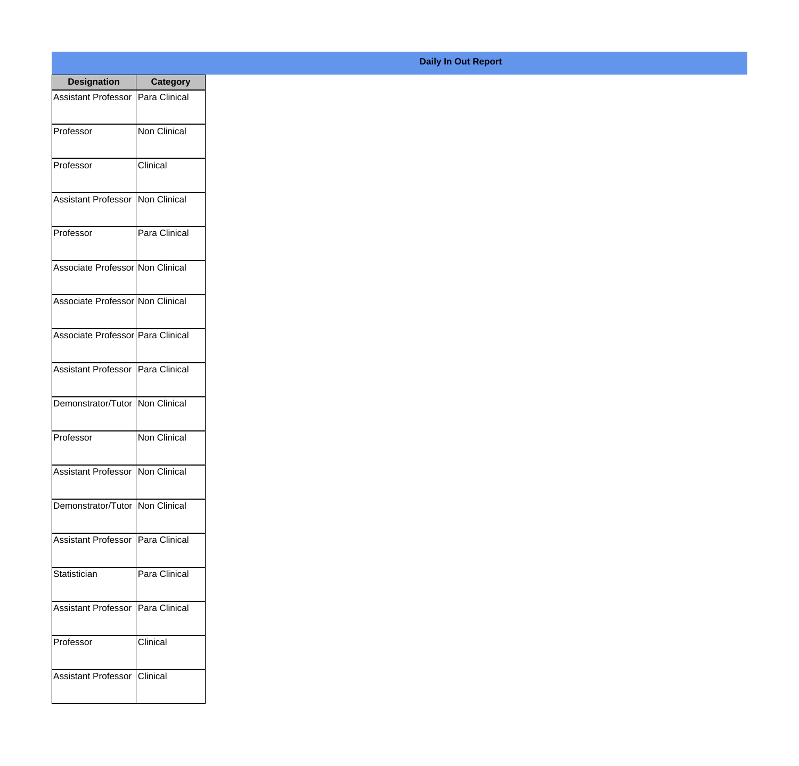| <b>Designation</b>                  | <b>Category</b>     |
|-------------------------------------|---------------------|
| Assistant Professor                 | Para Clinical       |
| Professor                           | <b>Non Clinical</b> |
| Professor                           | Clinical            |
| Assistant Professor                 | Non Clinical        |
| Professor                           | Para Clinical       |
| Associate Professor Non Clinical    |                     |
| Associate Professor Non Clinical    |                     |
| Associate Professor Para Clinical   |                     |
| Assistant Professor   Para Clinical |                     |
| Demonstrator/Tutor   Non Clinical   |                     |
| Professor                           | Non Clinical        |
| Assistant Professor Non Clinical    |                     |
| Demonstrator/Tutor   Non Clinical   |                     |
| <b>Assistant Professor</b>          | Para Clinical       |
| Statistician                        | Para Clinical       |
| <b>Assistant Professor</b>          | Para Clinical       |
| Professor                           | Clinical            |
| <b>Assistant Professor</b>          | Clinical            |

## **Daily In Out Report**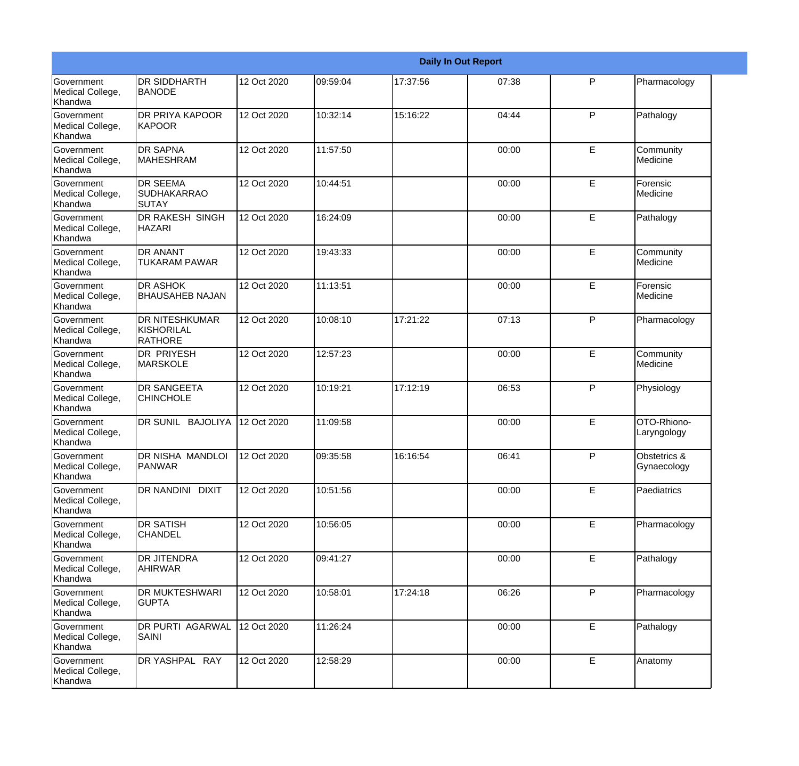|                                           |                                                       |             |          |          | <b>Daily In Out Report</b> |   |                             |  |
|-------------------------------------------|-------------------------------------------------------|-------------|----------|----------|----------------------------|---|-----------------------------|--|
| Government<br>Medical College,<br>Khandwa | <b>DR SIDDHARTH</b><br><b>BANODE</b>                  | 12 Oct 2020 | 09:59:04 | 17:37:56 | 07:38                      | P | Pharmacology                |  |
| Government<br>Medical College,<br>Khandwa | <b>DR PRIYA KAPOOR</b><br><b>KAPOOR</b>               | 12 Oct 2020 | 10:32:14 | 15:16:22 | 04:44                      | P | Pathalogy                   |  |
| Government<br>Medical College,<br>Khandwa | <b>DR SAPNA</b><br><b>MAHESHRAM</b>                   | 12 Oct 2020 | 11:57:50 |          | 00:00                      | E | Community<br>Medicine       |  |
| Government<br>Medical College,<br>Khandwa | <b>DR SEEMA</b><br><b>SUDHAKARRAO</b><br>SUTAY        | 12 Oct 2020 | 10:44:51 |          | 00:00                      | E | Forensic<br>Medicine        |  |
| Government<br>Medical College,<br>Khandwa | <b>DR RAKESH SINGH</b><br><b>HAZARI</b>               | 12 Oct 2020 | 16:24:09 |          | 00:00                      | E | Pathalogy                   |  |
| Government<br>Medical College,<br>Khandwa | <b>DR ANANT</b><br><b>TUKARAM PAWAR</b>               | 12 Oct 2020 | 19:43:33 |          | 00:00                      | E | Community<br>Medicine       |  |
| Government<br>Medical College,<br>Khandwa | <b>DR ASHOK</b><br><b>BHAUSAHEB NAJAN</b>             | 12 Oct 2020 | 11:13:51 |          | 00:00                      | E | Forensic<br>Medicine        |  |
| Government<br>Medical College,<br>Khandwa | <b>DR NITESHKUMAR</b><br>KISHORILAL<br><b>RATHORE</b> | 12 Oct 2020 | 10:08:10 | 17:21:22 | 07:13                      | P | Pharmacology                |  |
| Government<br>Medical College,<br>Khandwa | <b>DR PRIYESH</b><br>MARSKOLE                         | 12 Oct 2020 | 12:57:23 |          | 00:00                      | E | Community<br>Medicine       |  |
| Government<br>Medical College,<br>Khandwa | <b>DR SANGEETA</b><br><b>CHINCHOLE</b>                | 12 Oct 2020 | 10:19:21 | 17:12:19 | 06:53                      | P | Physiology                  |  |
| Government<br>Medical College,<br>Khandwa | <b>DR SUNIL BAJOLIYA</b>                              | 12 Oct 2020 | 11:09:58 |          | 00:00                      | E | OTO-Rhiono-<br>Laryngology  |  |
| Government<br>Medical College,<br>Khandwa | DR NISHA MANDLOI<br>PANWAR                            | 12 Oct 2020 | 09:35:58 | 16:16:54 | 06:41                      | P | Obstetrics &<br>Gynaecology |  |
| Government<br>Medical College,<br>Khandwa | DR NANDINI DIXIT                                      | 12 Oct 2020 | 10:51:56 |          | 00:00                      | E | Paediatrics                 |  |
| Government<br>Medical College,<br>Khandwa | <b>DR SATISH</b><br><b>CHANDEL</b>                    | 12 Oct 2020 | 10:56:05 |          | 00:00                      | E | Pharmacology                |  |
| Government<br>Medical College,<br>Khandwa | <b>DR JITENDRA</b><br>AHIRWAR                         | 12 Oct 2020 | 09:41:27 |          | 00:00                      | E | Pathalogy                   |  |
| Government<br>Medical College,<br>Khandwa | <b>DR MUKTESHWARI</b><br><b>GUPTA</b>                 | 12 Oct 2020 | 10:58:01 | 17:24:18 | 06:26                      | P | Pharmacology                |  |
| Government<br>Medical College,<br>Khandwa | DR PURTI AGARWAL<br>SAINI                             | 12 Oct 2020 | 11:26:24 |          | 00:00                      | E | Pathalogy                   |  |
| Government<br>Medical College,<br>Khandwa | DR YASHPAL RAY                                        | 12 Oct 2020 | 12:58:29 |          | 00:00                      | E | Anatomy                     |  |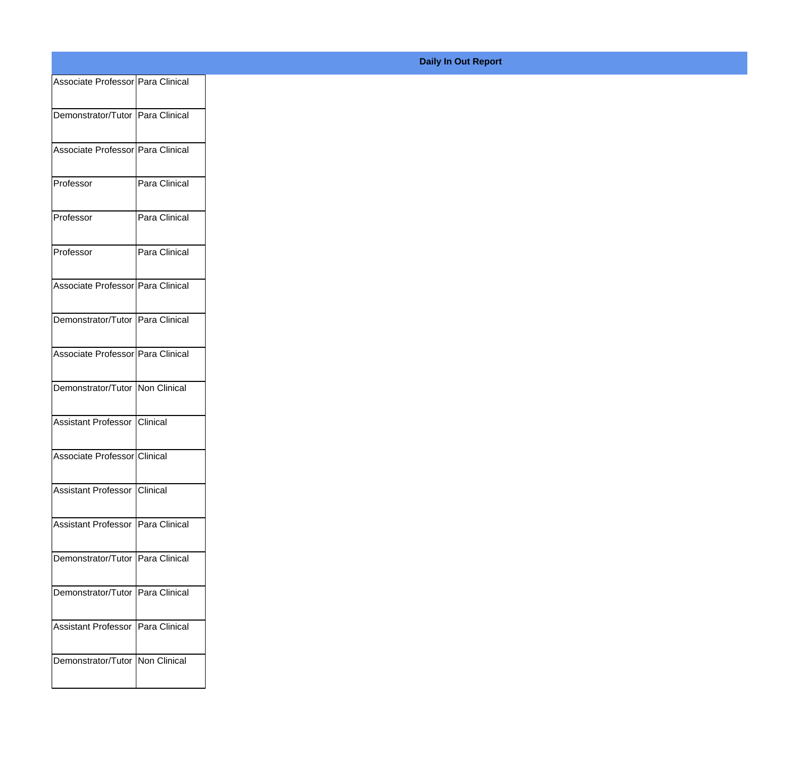| Associate Professor Para Clinical   |               |
|-------------------------------------|---------------|
| Demonstrator/Tutor Para Clinical    |               |
| Associate Professor Para Clinical   |               |
| Professor                           | Para Clinical |
| Professor                           | Para Clinical |
| Professor                           | Para Clinical |
| Associate Professor   Para Clinical |               |
| Demonstrator/Tutor Para Clinical    |               |
| Associate Professor   Para Clinical |               |
| Demonstrator/Tutor Non Clinical     |               |
| Assistant Professor Clinical        |               |
| Associate Professor Clinical        |               |
| Assistant Professor Clinical        |               |
| Assistant Professor   Para Clinical |               |
| Demonstrator/Tutor Para Clinical    |               |
| Demonstrator/Tutor   Para Clinical  |               |
| Assistant Professor   Para Clinical |               |
| Demonstrator/Tutor   Non Clinical   |               |
|                                     |               |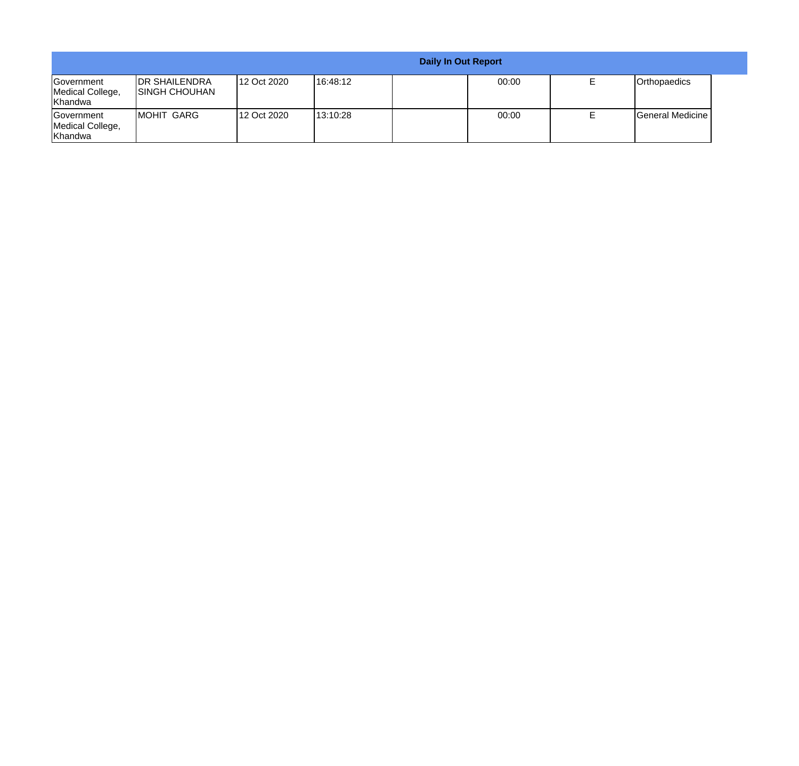|                                                  |                                                |             |           | <b>Daily In Out Report</b> |       |  |                         |  |
|--------------------------------------------------|------------------------------------------------|-------------|-----------|----------------------------|-------|--|-------------------------|--|
| <b>Government</b><br>Medical College,<br>Khandwa | <b>IDR SHAILENDRA</b><br><b>ISINGH CHOUHAN</b> | 12 Oct 2020 | 116:48:12 |                            | 00:00 |  | <b>Orthopaedics</b>     |  |
| <b>Government</b><br>Medical College,<br>Khandwa | IMOHIT GARG                                    | 12 Oct 2020 | 113:10:28 |                            | 00:00 |  | <b>General Medicine</b> |  |